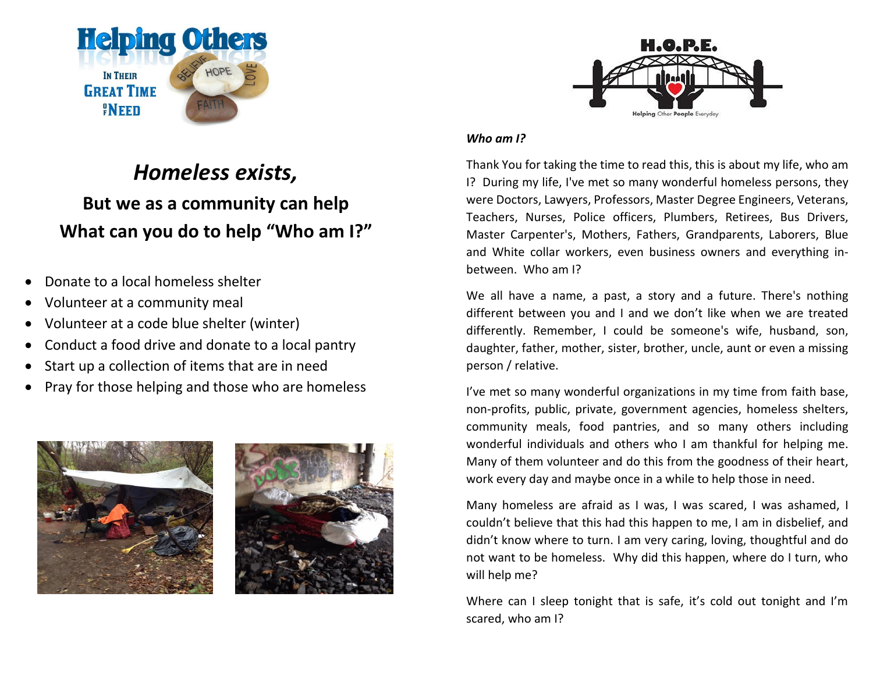

# *Homeless exists,*  **But we as a community can help What can you do to help "Who am I?"**

- Donate to a local homeless shelter
- Volunteer at a community meal
- Volunteer at a code blue shelter (winter)
- Conduct a food drive and donate to a local pantry
- Start up a collection of items that are in need
- Pray for those helping and those who are homeless







#### *Who am I?*

Thank You for taking the time to read this, this is about my life, who am I? During my life, I've met so many wonderful homeless persons, they were Doctors, Lawyers, Professors, Master Degree Engineers, Veterans, Teachers, Nurses, Police officers, Plumbers, Retirees, Bus Drivers, Master Carpenter's, Mothers, Fathers, Grandparents, Laborers, Blue and White collar workers, even business owners and everything inbetween. Who am I?

We all have a name, a past, a story and a future. There's nothing different between you and I and we don't like when we are treated differently. Remember, I could be someone's wife, husband, son, daughter, father, mother, sister, brother, uncle, aunt or even a missing person / relative.

I've met so many wonderful organizations in my time from faith base, non-profits, public, private, government agencies, homeless shelters, community meals, food pantries, and so many others including wonderful individuals and others who I am thankful for helping me. Many of them volunteer and do this from the goodness of their heart, work every day and maybe once in a while to help those in need.

Many homeless are afraid as I was, I was scared, I was ashamed, I couldn't believe that this had this happen to me, I am in disbelief, and didn't know where to turn. I am very caring, loving, thoughtful and do not want to be homeless. Why did this happen, where do I turn, who will help me?

Where can I sleep tonight that is safe, it's cold out tonight and I'm scared, who am I?